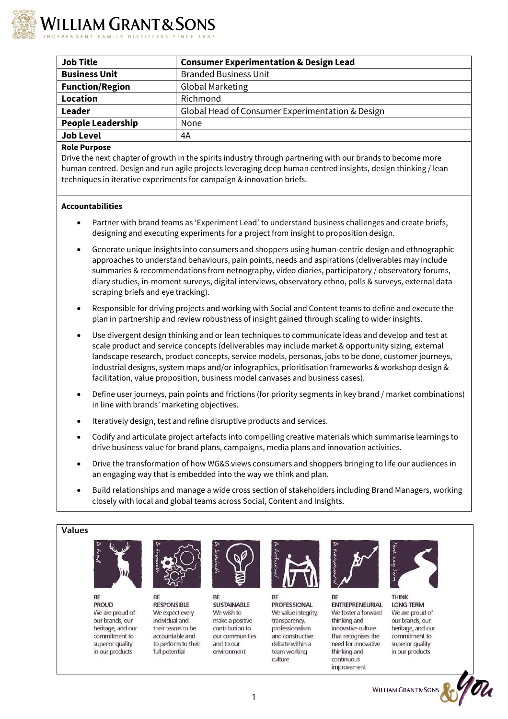

| <b>Job Title</b>         | <b>Consumer Experimentation &amp; Design Lead</b> |
|--------------------------|---------------------------------------------------|
| <b>Business Unit</b>     | <b>Branded Business Unit</b>                      |
| <b>Function/Region</b>   | <b>Global Marketing</b>                           |
| Location                 | Richmond                                          |
| Leader                   | Global Head of Consumer Experimentation & Design  |
| <b>People Leadership</b> | None                                              |
| <b>Job Level</b>         | 4A                                                |
|                          |                                                   |

## **Role Purpose**

Drive the next chapter of growth in the spirits industry through partnering with our brands to become more human centred. Design and run agile projects leveraging deep human centred insights, design thinking / lean techniques in iterative experiments for campaign & innovation briefs.

## **Accountabilities**

- Partner with brand teams as 'Experiment Lead' to understand business challenges and create briefs, designing and executing experiments for a project from insight to proposition design.
- Generate unique insights into consumers and shoppers using human-centric design and ethnographic approaches to understand behaviours, pain points, needs and aspirations (deliverables may include summaries & recommendations from netnography, video diaries, participatory / observatory forums, diary studies, in-moment surveys, digital interviews, observatory ethno, polls & surveys, external data scraping briefs and eye tracking).
- Responsible for driving projects and working with Social and Content teams to define and execute the plan in partnership and review robustness of insight gained through scaling to wider insights.
- Use divergent design thinking and or lean techniques to communicate ideas and develop and test at scale product and service concepts (deliverables may include market & opportunity sizing, external landscape research, product concepts, service models, personas, jobs to be done, customer journeys, industrial designs, system maps and/or infographics, prioritisation frameworks & workshop design & facilitation, value proposition, business model canvases and business cases).
- Define user journeys, pain points and frictions (for priority segments in key brand / market combinations) in line with brands' marketing objectives.
- Iteratively design, test and refine disruptive products and services.
- Codify and articulate project artefacts into compelling creative materials which summarise learnings to drive business value for brand plans, campaigns, media plans and innovation activities.
- Drive the transformation of how WG&S views consumers and shoppers bringing to life our audiences in an engaging way that is embedded into the way we think and plan.
- Build relationships and manage a wide cross section of stakeholders including Brand Managers, working closely with local and global teams across Social, Content and Insights.

## **Values**



**BE PROUD** We are proud of our brands, our heritage, and our commitment to superior quality in our products



**BE RESPONSIBLE** We expect every individual and their teams to be accountable and to perform to their full potential



**BE SUSTAINABLE** We wish to make a positive contribution to our communities and to our environment



BE **PROFESSIONAL** We value integrity, transparency, professionalism and constructive debate within a team working culture



BE **ENTREPRENEURIAL** We foster a forward thinking and innovative culture that recognises the need for innovative thinking and continuous improvement



**THINK LONG TERM** We are proud of our brands, our heritage, and our commitment to superior quality in our products